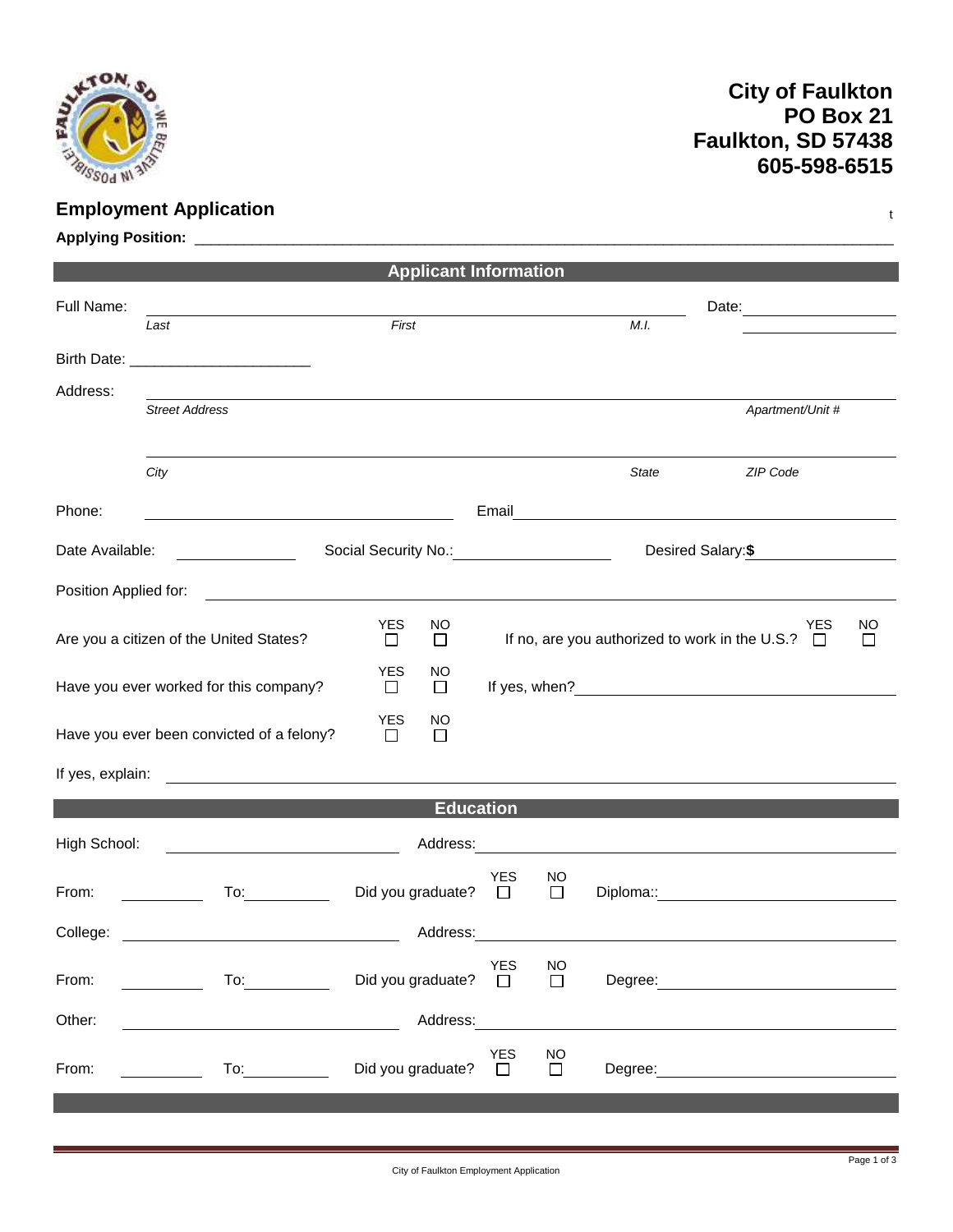

## **City of Faulkton PO Box 21 Faulkton, SD 57438 605-598-6515**

| <b>Employment Application</b><br>t |                                                                                                                                                                                                                                                         |                                      |                                                                                                                |                     |           |                                                                                                                                                                                                                                     |  |  |  |  |  |
|------------------------------------|---------------------------------------------------------------------------------------------------------------------------------------------------------------------------------------------------------------------------------------------------------|--------------------------------------|----------------------------------------------------------------------------------------------------------------|---------------------|-----------|-------------------------------------------------------------------------------------------------------------------------------------------------------------------------------------------------------------------------------------|--|--|--|--|--|
|                                    |                                                                                                                                                                                                                                                         |                                      |                                                                                                                |                     |           |                                                                                                                                                                                                                                     |  |  |  |  |  |
| <b>Applicant Information</b>       |                                                                                                                                                                                                                                                         |                                      |                                                                                                                |                     |           |                                                                                                                                                                                                                                     |  |  |  |  |  |
| Full Name:                         |                                                                                                                                                                                                                                                         |                                      |                                                                                                                |                     |           | Date: 2008                                                                                                                                                                                                                          |  |  |  |  |  |
|                                    | Last                                                                                                                                                                                                                                                    | First                                |                                                                                                                |                     | M.I.      |                                                                                                                                                                                                                                     |  |  |  |  |  |
|                                    |                                                                                                                                                                                                                                                         |                                      |                                                                                                                |                     |           |                                                                                                                                                                                                                                     |  |  |  |  |  |
| Address:                           |                                                                                                                                                                                                                                                         |                                      |                                                                                                                |                     |           |                                                                                                                                                                                                                                     |  |  |  |  |  |
|                                    | <b>Street Address</b>                                                                                                                                                                                                                                   |                                      |                                                                                                                |                     |           | Apartment/Unit #                                                                                                                                                                                                                    |  |  |  |  |  |
|                                    | City                                                                                                                                                                                                                                                    |                                      |                                                                                                                |                     | State     | ZIP Code                                                                                                                                                                                                                            |  |  |  |  |  |
| Phone:                             | <u> 1989 - Johann Barnett, fransk politiker (d. 1989)</u>                                                                                                                                                                                               |                                      |                                                                                                                |                     |           |                                                                                                                                                                                                                                     |  |  |  |  |  |
| Date Available:                    |                                                                                                                                                                                                                                                         |                                      |                                                                                                                |                     |           | Desired Salary: \$                                                                                                                                                                                                                  |  |  |  |  |  |
| Position Applied for:              | <u> 1989 - Johann Harry Harry Harry Harry Harry Harry Harry Harry Harry Harry Harry Harry Harry Harry Harry Harry</u>                                                                                                                                   |                                      |                                                                                                                |                     |           |                                                                                                                                                                                                                                     |  |  |  |  |  |
|                                    | Are you a citizen of the United States?                                                                                                                                                                                                                 | <b>YES</b><br>NO<br>$\Box$<br>$\Box$ | NO<br>YES<br>If no, are you authorized to work in the U.S.? $\Box$<br>□                                        |                     |           |                                                                                                                                                                                                                                     |  |  |  |  |  |
|                                    | Have you ever worked for this company?                                                                                                                                                                                                                  | <b>YES</b><br>NO<br>$\Box$<br>$\Box$ |                                                                                                                |                     |           |                                                                                                                                                                                                                                     |  |  |  |  |  |
|                                    |                                                                                                                                                                                                                                                         | <b>YES</b><br>NO                     |                                                                                                                |                     |           |                                                                                                                                                                                                                                     |  |  |  |  |  |
|                                    | Have you ever been convicted of a felony?                                                                                                                                                                                                               | □<br>□                               |                                                                                                                |                     |           |                                                                                                                                                                                                                                     |  |  |  |  |  |
| If yes, explain:                   |                                                                                                                                                                                                                                                         |                                      |                                                                                                                |                     |           |                                                                                                                                                                                                                                     |  |  |  |  |  |
|                                    |                                                                                                                                                                                                                                                         |                                      | <b>Education</b>                                                                                               |                     |           |                                                                                                                                                                                                                                     |  |  |  |  |  |
| High School:                       | <u> 1989 - Johann Stoff, fransk politik (d. 1989)</u>                                                                                                                                                                                                   |                                      |                                                                                                                |                     |           |                                                                                                                                                                                                                                     |  |  |  |  |  |
| From:                              | To:                                                                                                                                                                                                                                                     | Did you graduate?                    | <b>YES</b><br>$\Box$                                                                                           | NO<br>⊔             | Diploma:: |                                                                                                                                                                                                                                     |  |  |  |  |  |
| College:                           |                                                                                                                                                                                                                                                         |                                      | Address: Andreas and the state of the state of the state of the state of the state of the state of the state o |                     |           |                                                                                                                                                                                                                                     |  |  |  |  |  |
| From:                              | To: the contract of the contract of the contract of the contract of the contract of the contract of the contract of the contract of the contract of the contract of the contract of the contract of the contract of the contra<br><u>and the second</u> | Did you graduate? $\square$          | <b>YES</b>                                                                                                     | <b>NO</b><br>$\Box$ |           | Degree: <u>example</u> and the set of the set of the set of the set of the set of the set of the set of the set of the set of the set of the set of the set of the set of the set of the set of the set of the set of the set of th |  |  |  |  |  |
| Other:                             |                                                                                                                                                                                                                                                         | Address:                             |                                                                                                                |                     |           |                                                                                                                                                                                                                                     |  |  |  |  |  |
| From:                              | To: the contract of the contract of the contract of the contract of the contract of the contract of the contract of the contract of the contract of the contract of the contract of the contract of the contract of the contra                          | Did you graduate?                    | <b>YES</b><br>$\Box$                                                                                           | <b>NO</b><br>$\Box$ |           | Degree: the contract of the contract of the contract of the contract of the contract of the contract of the contract of the contract of the contract of the contract of the contract of the contract of the contract of the co      |  |  |  |  |  |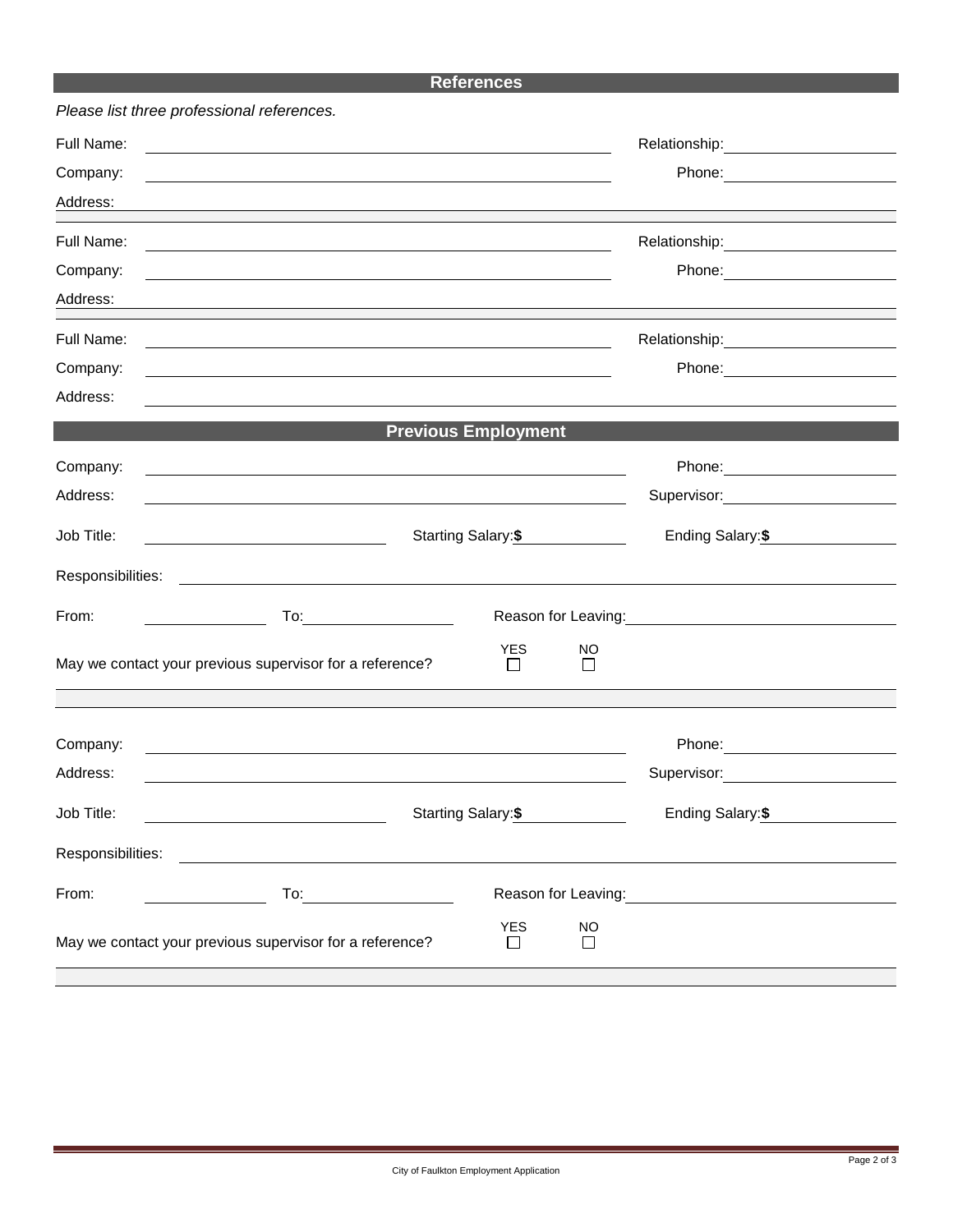## **References**

| Full Name:                                               | <u> 1989 - Johann John Stone, Amerikaansk politiker (* 1958)</u>                                                       |                            |                     |                                                               |  |  |  |  |  |
|----------------------------------------------------------|------------------------------------------------------------------------------------------------------------------------|----------------------------|---------------------|---------------------------------------------------------------|--|--|--|--|--|
| Company:                                                 |                                                                                                                        |                            |                     | Phone: <u>_____________</u>                                   |  |  |  |  |  |
| Address:                                                 |                                                                                                                        |                            |                     |                                                               |  |  |  |  |  |
| Full Name:                                               | <u> 1989 - Johann Stoff, deutscher Stoffen und der Stoffen und der Stoffen und der Stoffen und der Stoffen und der</u> |                            |                     |                                                               |  |  |  |  |  |
| Company:                                                 |                                                                                                                        |                            |                     |                                                               |  |  |  |  |  |
| Address:                                                 | and the control of the control of the control of the control of the control of the control of the control of the       |                            |                     |                                                               |  |  |  |  |  |
| Full Name:                                               | Relationship: 2000                                                                                                     |                            |                     |                                                               |  |  |  |  |  |
| Company:                                                 |                                                                                                                        |                            |                     |                                                               |  |  |  |  |  |
| Address:                                                 |                                                                                                                        |                            |                     |                                                               |  |  |  |  |  |
|                                                          |                                                                                                                        | <b>Previous Employment</b> |                     |                                                               |  |  |  |  |  |
| Company:                                                 | and the control of the control of the control of the control of the control of the control of the control of the       |                            |                     |                                                               |  |  |  |  |  |
| Address:                                                 | and the control of the control of the control of the control of the control of the control of the control of the       |                            |                     | Supervisor: Victor Communication Communication                |  |  |  |  |  |
| Job Title:                                               | Starting Salary:\$                                                                                                     |                            |                     | Ending Salary: \$                                             |  |  |  |  |  |
| Responsibilities:                                        | <u> 1989 - Andrea Stadt Britain, fransk politik (</u>                                                                  |                            |                     |                                                               |  |  |  |  |  |
| From:                                                    | $To: \begin{tabular}{c} \quad \quad \quad & \quad \quad \\ \hline \end{tabular}$                                       |                            |                     |                                                               |  |  |  |  |  |
| May we contact your previous supervisor for a reference? |                                                                                                                        | <b>YES</b><br>$\Box$       | NO<br>П             |                                                               |  |  |  |  |  |
|                                                          |                                                                                                                        |                            |                     |                                                               |  |  |  |  |  |
| Company:                                                 |                                                                                                                        |                            |                     |                                                               |  |  |  |  |  |
| Address:                                                 |                                                                                                                        |                            |                     | Supervisor: <b>Example 2019</b>                               |  |  |  |  |  |
| Job Title:                                               | Starting Salary: \$<br><u> 1980 - Johann Barnett, fransk politik (d. 1980)</u>                                         |                            |                     | Ending Salary:\$                                              |  |  |  |  |  |
| Responsibilities:                                        |                                                                                                                        |                            |                     |                                                               |  |  |  |  |  |
| From:                                                    |                                                                                                                        |                            |                     | Reason for Leaving: Management Control of Reason for Leaving: |  |  |  |  |  |
| May we contact your previous supervisor for a reference? |                                                                                                                        | <b>YES</b><br>⊔            | <b>NO</b><br>$\Box$ |                                                               |  |  |  |  |  |